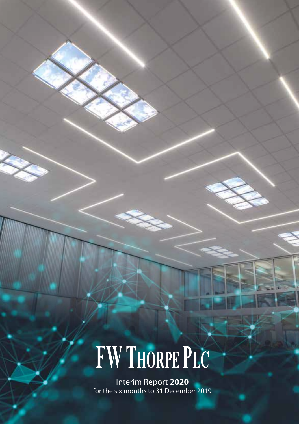# FW THORPE PLC

Interim Report **2020** for the six months to 31 December 2019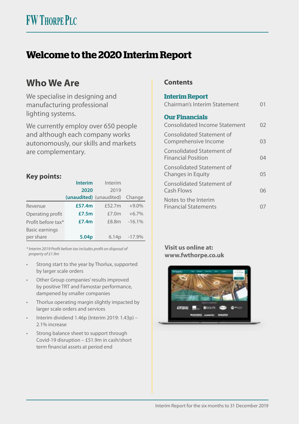# **Welcome to the 2020 Interim Report**

# **Who We Are**

We specialise in designing and manufacturing professional lighting systems.

We currently employ over 650 people and although each company works autonomously, our skills and markets are complementary.

#### **Key points:**

|                       | <b>Interim</b>          | Interim  |          |
|-----------------------|-------------------------|----------|----------|
|                       | 2020                    | 2019     |          |
|                       | (unaudited) (unaudited) |          | Change   |
| Revenue               | £57.4m                  | £52.7m   | $+9.0%$  |
| Operating profit      | £7.5m                   | £7.0 $m$ | $+6.7%$  |
| Profit before tax*    | £7.4m                   | £8.8m    | $-16.1%$ |
| <b>Basic earnings</b> |                         |          |          |
| per share             | 5.04 <sub>p</sub>       | 6.14p    | $-17.9%$ |

*\* Interim 2019 Profit before tax includes profit on disposal of property of £1.9m*

- Strong start to the year by Thorlux, supported by larger scale orders
- Other Group companies' results improved by positive TRT and Famostar performance, dampened by smaller companies
- Thorlux operating margin slightly impacted by larger scale orders and services
- Interim dividend 1.46p (Interim 2019: 1.43p) 2.1% increase
- Strong balance sheet to support through Covid-19 disruption – £51.9m in cash/short term financial assets at period end

#### **Contents**

#### **Interim Report** Chairman's Interim Statement 01 **Our Financials** Consolidated Income Statement 02 Consolidated Statement of Comprehensive Income 03 Consolidated Statement of Financial Position 04 Consolidated Statement of Changes in Equity 05 Consolidated Statement of Cash Flows 06 Notes to the Interim Financial Statements 07

#### **Visit us online at: www.fwthorpe.co.uk**

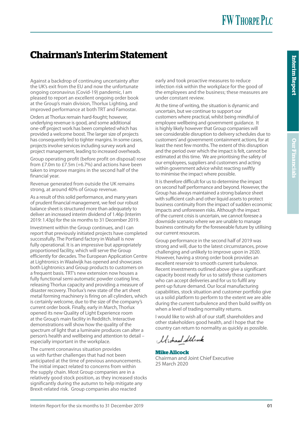# **Chairman's Interim Statement**

Against a backdrop of continuing uncertainty after the UK's exit from the EU and now the unfortunate ongoing coronavirus (Covid-19) pandemic, I am pleased to report an excellent ongoing order book at the Group's main division, Thorlux Lighting, and improved performance at both TRT and Famostar.

Orders at Thorlux remain hard-fought; however, underlying revenue is good, and some additional one-off project work has been completed which has provided a welcome boost. The larger size of projects has consequently led to tighter margins. In some cases, projects involve services including survey work and project management, leading to increased overheads.

Group operating profit (before profit on disposal) rose from £7.0m to £7.5m (+6.7%) and actions have been taken to improve margins in the second half of the financial year.

Revenue generated from outside the UK remains strong, at around 40% of Group revenue.

As a result of this solid performance, and many years of prudent financial management, we feel our robust balance sheet is structured more than adequately to deliver an increased interim dividend of 1.46p (Interim 2019: 1.43p) for the six months to 31 December 2019.

Investment within the Group continues, and I can report that previously initiated projects have completed successfully. The Portland factory in Walsall is now fully operational. It is an impressive but appropriately proportioned facility, which will serve the Group efficiently for decades. The European Application Centre at Lightronics in Waalwijk has opened and showcases both Lightronics and Group products to customers on a frequent basis. TRT's new extension now houses a fully functional semi-automatic powder coating line, releasing Thorlux capacity and providing a measure of disaster recovery. Thorlux's new state of the art sheet metal forming machinery is firing on all cylinders, which is certainly welcome, due to the size of the company's current order book. Finally, early in March, Thorlux opened its new Quality of Light Experience room at the Group's main facility in Redditch. Interactive demonstrations will show how the quality of the spectrum of light that a luminaire produces can alter a person's health and wellbeing and attention to detail – especially important in the workplace.

The current coronavirus situation provides us with further challenges that had not been anticipated at the time of previous announcements. The initial impact related to concerns from within the supply chain. Most Group companies are in a relatively good stock position, as they increased stocks significantly during the autumn to help mitigate any Brexit-related risk. Group companies also reacted

early and took proactive measures to reduce infection risk within the workplace for the good of the employees and the business; these measures are under constant review.

At the time of writing, the situation is dynamic and uncertain, but we continue to support our customers where practical, whilst being mindful of employee wellbeing and government guidance. It is highly likely however that Group companies will see considerable disruption to delivery schedules due to customers' and government containment actions, for at least the next few months. The extent of this disruption and the period over which the impact is felt, cannot be estimated at this time. We are prioritising the safety of our employees, suppliers and customers and acting within government advice whilst reacting swiftly to minimise the impact where possible.

It is therefore difficult for us to determine the impact on second half performance and beyond. However, the Group has always maintained a strong balance sheet with sufficient cash and other liquid assets to protect business continuity from the impact of sudden economic impacts and unforeseen risks. Although the impact of the current crisis is uncertain, we cannot foresee a downside scenario where we are unable to manage business continuity for the foreseeable future by utilising our current resources.

Group performance in the second half of 2019 was strong and will, due to the latest circumstances, prove challenging and unlikely to improve upon in 2020. However, having a strong order book provides an excellent reservoir to smooth current turbulence. Recent investments outlined above give a significant capacity boost ready for us to satisfy those customers who can accept deliveries and for us to fulfil any pent-up future demand. Our local manufacturing capabilities, stock situation and customer portfolio give us a solid platform to perform to the extent we are able during the current turbulence and then build swiftly on when a level of trading normality returns.

I would like to wish all of our staff, shareholders and other stakeholders good health, and I hope that the country can return to normality as quickly as possible.

كان المردار والمردار

**Mike Allcock** Chairman and Joint Chief Executive 25 March 2020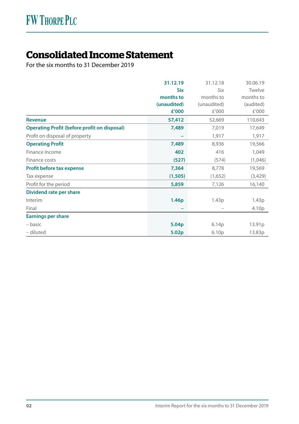# **Consolidated Income Statement**

For the six months to 31 December 2019

|                                                     | 31.12.19          | 31.12.18          | 30.06.19  |
|-----------------------------------------------------|-------------------|-------------------|-----------|
|                                                     | <b>Six</b>        | Six               | Twelve    |
|                                                     | months to         | months to         | months to |
|                                                     | (unaudited)       | (unaudited)       | (audited) |
|                                                     | £'000             | £'000             | £'000     |
| <b>Revenue</b>                                      | 57,412            | 52,669            | 110,643   |
| <b>Operating Profit (before profit on disposal)</b> | 7,489             | 7,019             | 17,649    |
| Profit on disposal of property                      |                   | 1,917             | 1,917     |
| <b>Operating Profit</b>                             | 7,489             | 8,936             | 19,566    |
| Finance income                                      | 402               | 416               | 1,049     |
| Finance costs                                       | (527)             | (574)             | (1,046)   |
| Profit before tax expense                           | 7,364             | 8,778             | 19,569    |
| Tax expense                                         | (1, 505)          | (1,652)           | (3,429)   |
| Profit for the period                               | 5,859             | 7,126             | 16,140    |
| Dividend rate per share                             |                   |                   |           |
| Interim                                             | 1.46 <sub>p</sub> | 1.43p             | 1.43p     |
| Final                                               |                   |                   | 4.10p     |
| <b>Earnings per share</b>                           |                   |                   |           |
| – basic                                             | 5.04 <sub>p</sub> | 6.14p             | 13.91p    |
| - diluted                                           | 5.02 <sub>p</sub> | 6.10 <sub>p</sub> | 13.83p    |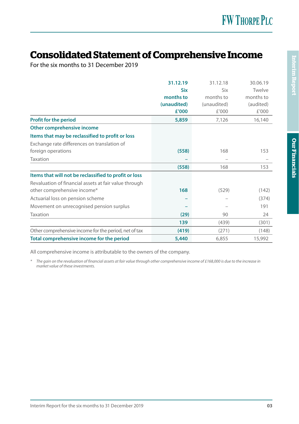# **Consolidated Statement of Comprehensive Income**

For the six months to 31 December 2019

|                                                       | 31.12.19    | 31.12.18    | 30.06.19  |
|-------------------------------------------------------|-------------|-------------|-----------|
|                                                       | <b>Six</b>  | Six         | Twelve    |
|                                                       | months to   | months to   | months to |
|                                                       | (unaudited) | (unaudited) | (audited) |
|                                                       | £'000       | £'000       | £'000     |
| Profit for the period                                 | 5,859       | 7,126       | 16,140    |
| Other comprehensive income                            |             |             |           |
| Items that may be reclassified to profit or loss      |             |             |           |
| Exchange rate differences on translation of           |             |             |           |
| foreign operations                                    | (558)       | 168         | 153       |
| Taxation                                              |             |             |           |
|                                                       | (558)       | 168         | 153       |
| Items that will not be reclassified to profit or loss |             |             |           |
| Revaluation of financial assets at fair value through |             |             |           |
| other comprehensive income*                           | 168         | (529)       | (142)     |
| Actuarial loss on pension scheme                      |             |             | (374)     |
| Movement on unrecognised pension surplus              |             |             | 191       |
| Taxation                                              | (29)        | 90          | 24        |
|                                                       | 139         | (439)       | (301)     |
| Other comprehensive income for the period, net of tax | (419)       | (271)       | (148)     |
| Total comprehensive income for the period             | 5,440       | 6,855       | 15,992    |

All comprehensive income is attributable to the owners of the company.

*\* The gain on the revaluation of financial assets at fair value through other comprehensive income of £168,000 is due to the increase in market value of these investments.*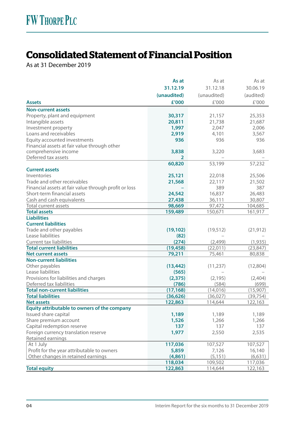# **Consolidated Statement of Financial Position**

As at 31 December 2019

|                                                       | As at       | As at       | As at     |
|-------------------------------------------------------|-------------|-------------|-----------|
|                                                       | 31.12.19    | 31.12.18    | 30.06.19  |
|                                                       | (unaudited) | (unaudited) | (audited) |
| <b>Assets</b>                                         | £'000       | £'000       | £'000     |
| <b>Non-current assets</b>                             |             |             |           |
| Property, plant and equipment                         | 30,317      | 21,157      | 25,353    |
| Intangible assets                                     | 20,811      | 21,738      | 21,687    |
| Investment property                                   | 1,997       | 2,047       | 2,006     |
| Loans and receivables                                 | 2,919       | 4,101       | 3,567     |
| Equity accounted investments                          | 936         | 936         | 936       |
| Financial assets at fair value through other          |             |             |           |
| comprehensive income                                  | 3,838       | 3,220       | 3,683     |
| Deferred tax assets                                   | 2           |             |           |
|                                                       | 60,820      | 53,199      | 57,232    |
| <b>Current assets</b>                                 |             |             |           |
| Inventories                                           | 25,121      | 22,018      | 25,506    |
| Trade and other receivables                           | 21,568      | 22,117      | 21,502    |
| Financial assets at fair value through profit or loss |             | 389         | 387       |
| Short-term financial assets                           | 24,542      | 16,837      | 26,483    |
| Cash and cash equivalents                             | 27,438      | 36,111      | 30,807    |
| Total current assets                                  | 98,669      | 97,472      | 104,685   |
| <b>Total assets</b>                                   | 159,489     | 150,671     | 161,917   |
| <b>Liabilities</b>                                    |             |             |           |
| <b>Current liabilities</b>                            |             |             |           |
| Trade and other payables                              | (19, 102)   | (19, 512)   | (21, 912) |
| Lease liabilities                                     | (82)        |             |           |
| Current tax liabilities                               | (274)       | (2,499)     | (1,935)   |
| <b>Total current liabilities</b>                      | (19,458)    | (22,011)    | (23, 847) |
| <b>Net current assets</b>                             | 79,211      | 75,461      | 80,838    |
| <b>Non-current liabilities</b>                        |             |             |           |
| Other payables                                        | (13, 442)   | (11, 237)   | (12,804)  |
| Lease liabilities                                     | (565)       |             |           |
| Provisions for liabilities and charges                | (2,375)     | (2, 195)    | (2,404)   |
| Deferred tax liabilities                              | (786)       | (584)       | (699)     |
| <b>Total non-current liabilities</b>                  | (17, 168)   | (14,016)    | (15,907)  |
| <b>Total liabilities</b>                              | (36, 626)   | (36, 027)   | (39, 754) |
| <b>Net assets</b>                                     | 122,863     | 114,644     | 122,163   |
| Equity attributable to owners of the company          |             |             |           |
| Issued share capital                                  | 1,189       | 1,189       | 1,189     |
| Share premium account                                 | 1,526       | 1,266       | 1,266     |
| Capital redemption reserve                            | 137         | 137         | 137       |
| Foreign currency translation reserve                  | 1,977       | 2,550       | 2,535     |
| Retained earnings                                     |             |             |           |
| At 1 July                                             | 117,036     | 107,527     | 107,527   |
| Profit for the year attributable to owners            | 5,859       | 7,126       | 16,140    |
| Other changes in retained earnings                    | (4,861)     | (5, 151)    | (6,631)   |
|                                                       | 118,034     | 109,502     | 117,036   |
| <b>Total equity</b>                                   | 122,863     | 114,644     | 122,163   |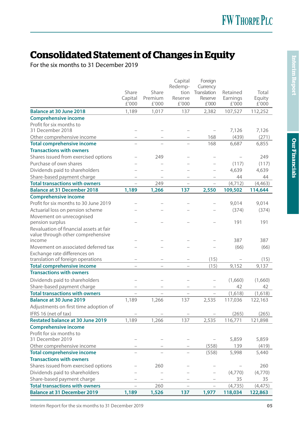# **Consolidated Statement of Changes in Equity**

For the six months to 31 December 2019

|                                             |                  |                  | Capital                  | Foreign                           |                   |                 |
|---------------------------------------------|------------------|------------------|--------------------------|-----------------------------------|-------------------|-----------------|
|                                             |                  |                  | Redemp-                  | Currency                          |                   |                 |
|                                             | Share            | Share<br>Premium | tion<br>Reserve          | Translation<br>Reserve            | Retained          | Total           |
|                                             | Capital<br>£'000 | £'000            | £'000                    | £'000                             | Earnings<br>£'000 | Equity<br>£'000 |
| <b>Balance at 30 June 2018</b>              | 1,189            | 1,017            | 137                      | 2,382                             | 107,527           | 112,252         |
| <b>Comprehensive income</b>                 |                  |                  |                          |                                   |                   |                 |
| Profit for six months to                    |                  |                  |                          |                                   |                   |                 |
| 31 December 2018                            |                  |                  |                          | $\hspace{0.1in} - \hspace{0.1in}$ | 7,126             | 7,126           |
| Other comprehensive income                  |                  |                  |                          | 168                               | (439)             | (271)           |
| <b>Total comprehensive income</b>           |                  |                  |                          | 168                               | 6,687             | 6,855           |
| <b>Transactions with owners</b>             |                  |                  |                          |                                   |                   |                 |
| Shares issued from exercised options        |                  | 249              |                          |                                   |                   | 249             |
| Purchase of own shares                      |                  |                  |                          |                                   | (117)             | (117)           |
| Dividends paid to shareholders              |                  |                  |                          | $\equiv$                          | 4,639             | 4,639           |
| Share-based payment charge                  |                  |                  |                          |                                   | 44                | 44              |
| <b>Total transactions with owners</b>       | $\equiv$         | 249              | $\overline{\phantom{a}}$ | $\equiv$                          | (4, 712)          | (4, 463)        |
| <b>Balance at 31 December 2018</b>          | 1,189            | 1,266            | 137                      | 2,550                             | 109,502           | 114,644         |
| <b>Comprehensive income</b>                 |                  |                  |                          |                                   |                   |                 |
| Profit for six months to 30 June 2019       |                  |                  |                          |                                   | 9,014             | 9,014           |
| Actuarial loss on pension scheme            |                  |                  |                          |                                   | (374)             | (374)           |
| Movement on unrecognised                    |                  |                  |                          |                                   |                   |                 |
| pension surplus                             |                  |                  |                          |                                   | 191               | 191             |
| Revaluation of financial assets at fair     |                  |                  |                          |                                   |                   |                 |
| value through other comprehensive<br>income |                  |                  |                          |                                   | 387               | 387             |
| Movement on associated deferred tax         |                  |                  |                          |                                   | (66)              | (66)            |
| Exchange rate differences on                |                  |                  |                          |                                   |                   |                 |
| translation of foreign operations           |                  |                  |                          | (15)                              |                   | (15)            |
| <b>Total comprehensive income</b>           |                  |                  |                          | (15)                              | 9,152             | 9,137           |
| <b>Transactions with owners</b>             |                  |                  |                          |                                   |                   |                 |
| Dividends paid to shareholders              |                  |                  |                          |                                   | (1,660)           | (1,660)         |
| Share-based payment charge                  |                  |                  |                          |                                   | 42                | 42              |
| <b>Total transactions with owners</b>       |                  |                  | $\overline{\phantom{a}}$ | $\equiv$                          | (1,618)           | (1,618)         |
| <b>Balance at 30 June 2019</b>              | 1,189            | 1,266            | 137                      | 2,535                             | 117,036           | 122,163         |
| Adjustments on first time adoption of       |                  |                  |                          |                                   |                   |                 |
| IFRS 16 (net of tax)                        |                  |                  |                          |                                   | (265)             | (265)           |
| <b>Restated balance at 30 June 2019</b>     | 1,189            | 1,266            | 137                      | 2,535                             | 116,771           | 121,898         |
| <b>Comprehensive income</b>                 |                  |                  |                          |                                   |                   |                 |
| Profit for six months to                    |                  |                  |                          |                                   |                   |                 |
| 31 December 2019                            |                  |                  |                          |                                   | 5,859             | 5,859           |
| Other comprehensive income                  |                  |                  |                          | (558)                             | 139               | (419)           |
| <b>Total comprehensive income</b>           |                  |                  |                          | (558)                             | 5,998             | 5,440           |
| <b>Transactions with owners</b>             |                  |                  |                          |                                   |                   |                 |
| Shares issued from exercised options        |                  | 260              |                          |                                   |                   | 260             |
| Dividends paid to shareholders              |                  | L.               |                          |                                   | (4,770)           | (4,770)         |
| Share-based payment charge                  |                  |                  |                          |                                   | 35                | 35              |
| <b>Total transactions with owners</b>       |                  | 260              |                          |                                   | (4,735)           | (4, 475)        |
| <b>Balance at 31 December 2019</b>          | 1,189            | 1,526            | 137                      | 1,977                             | 118,034           | 122,863         |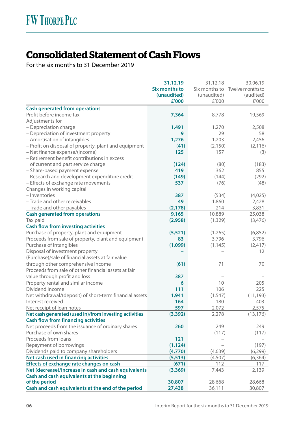# **Consolidated Statement of Cash Flows**

For the six months to 31 December 2019

|                                                                                         | 31.12.19      | 31.12.18    | 30.06.19                       |
|-----------------------------------------------------------------------------------------|---------------|-------------|--------------------------------|
|                                                                                         | Six months to |             | Six months to Twelve months to |
|                                                                                         | (unaudited)   | (unaudited) | (audited)                      |
|                                                                                         | £'000         | £'000       | £'000                          |
| <b>Cash generated from operations</b>                                                   |               |             |                                |
| Profit before income tax                                                                | 7,364         | 8,778       | 19,569                         |
| Adjustments for                                                                         |               |             |                                |
| - Depreciation charge                                                                   | 1,491         | 1,270       | 2,508                          |
| - Depreciation of investment property                                                   | 9             | 29          | 58                             |
| - Amortisation of intangibles                                                           | 1,276         | 1,203       | 2,456                          |
| - Profit on disposal of property, plant and equipment                                   | (41)          | (2, 150)    | (2, 116)                       |
| - Net finance expense/(income)                                                          | 125           | 157         | (3)                            |
| - Retirement benefit contributions in excess                                            |               |             |                                |
| of current and past service charge                                                      | (124)         | (80)        | (183)                          |
| - Share-based payment expense                                                           | 419           | 362         | 855                            |
| - Research and development expenditure credit                                           | (149)         | (144)       | (292)                          |
| - Effects of exchange rate movements                                                    | 537           | (76)        | (48)                           |
| Changes in working capital                                                              |               |             |                                |
| - Inventories                                                                           | 387           | (534)       | (4,025)                        |
| - Trade and other receivables                                                           | 49            | 1,860       | 2,428                          |
| - Trade and other payables                                                              | (2, 178)      | 214         | 3,831                          |
| <b>Cash generated from operations</b>                                                   | 9,165         | 10,889      | 25,038                         |
| Tax paid                                                                                | (2,958)       | (1, 329)    | (3,476)                        |
| <b>Cash flow from investing activities</b>                                              |               |             |                                |
| Purchase of property, plant and equipment                                               | (5, 521)      | (1,265)     | (6, 852)                       |
| Proceeds from sale of property, plant and equipment                                     | 83            | 3,796       | 3,796                          |
| Purchase of intangibles                                                                 | (1,099)       | (1, 145)    | (2, 417)                       |
| Disposal of investment property                                                         |               |             | 12                             |
| (Purchase)/sale of financial assets at fair value<br>through other comprehensive income | (61)          | 71          | 70                             |
| Proceeds from sale of other financial assets at fair                                    |               |             |                                |
| value through profit and loss                                                           | 387           |             |                                |
| Property rental and similar income                                                      | 6             | 10          | 205                            |
| Dividend income                                                                         | 111           | 106         | 225                            |
| Net withdrawal/(deposit) of short-term financial assets                                 | 1,941         | (1, 547)    | (11, 193)                      |
| Interest received                                                                       | 164           | 180         | 403                            |
| Net receipt of loan notes                                                               | 597           | 2,072       | 2,575                          |
| Net cash generated (used in)/from investing activities                                  | (3, 392)      | 2,278       | (13, 176)                      |
| <b>Cash flow from financing activities</b>                                              |               |             |                                |
| Net proceeds from the issuance of ordinary shares                                       | 260           | 249         | 249                            |
| Purchase of own shares                                                                  |               | (117)       | (117)                          |
| Proceeds from loans                                                                     | 121           |             |                                |
| Repayment of borrowings                                                                 | (1, 124)      |             | (197)                          |
| Dividends paid to company shareholders                                                  | (4,770)       | (4,639)     | (6, 299)                       |
| Net cash used in financing activities                                                   | (5, 513)      | (4, 507)    | (6, 364)                       |
| Effects of exchange rate changes on cash                                                | (671)         | 112         | 117                            |
| Net (decrease)/increase in cash and cash equivalents                                    | (3,369)       | 7,443       | 2,139                          |
| Cash and cash equivalents at the beginning                                              |               |             |                                |
| of the period                                                                           | 30,807        | 28,668      | 28,668                         |
| Cash and cash equivalents at the end of the period                                      | 27,438        | 36,111      | 30,807                         |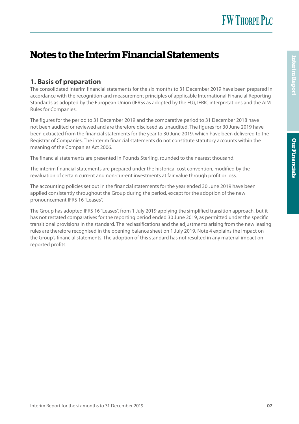# **Notes to the Interim Financial Statements**

#### **1. Basis of preparation**

The consolidated interim financial statements for the six months to 31 December 2019 have been prepared in accordance with the recognition and measurement principles of applicable International Financial Reporting Standards as adopted by the European Union (IFRSs as adopted by the EU), IFRIC interpretations and the AIM Rules for Companies.

The figures for the period to 31 December 2019 and the comparative period to 31 December 2018 have not been audited or reviewed and are therefore disclosed as unaudited. The figures for 30 June 2019 have been extracted from the financial statements for the year to 30 June 2019, which have been delivered to the Registrar of Companies. The interim financial statements do not constitute statutory accounts within the meaning of the Companies Act 2006.

The financial statements are presented in Pounds Sterling, rounded to the nearest thousand.

The interim financial statements are prepared under the historical cost convention, modified by the revaluation of certain current and non-current investments at fair value through profit or loss.

The accounting policies set out in the financial statements for the year ended 30 June 2019 have been applied consistently throughout the Group during the period, except for the adoption of the new pronouncement IFRS 16 "Leases".

The Group has adopted IFRS 16 "Leases", from 1 July 2019 applying the simplified transition approach, but it has not restated comparatives for the reporting period ended 30 June 2019, as permitted under the specific transitional provisions in the standard. The reclassifications and the adjustments arising from the new leasing rules are therefore recognised in the opening balance sheet on 1 July 2019. Note 4 explains the impact on the Group's financial statements. The adoption of this standard has not resulted in any material impact on reported profits.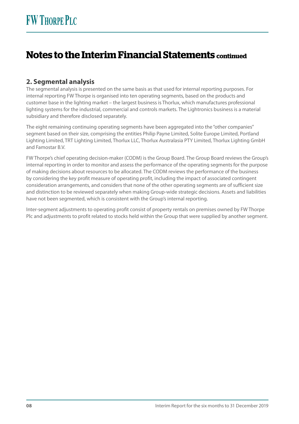# **Notes to the Interim Financial Statements continued**

#### **2. Segmental analysis**

The segmental analysis is presented on the same basis as that used for internal reporting purposes. For internal reporting FW Thorpe is organised into ten operating segments, based on the products and customer base in the lighting market – the largest business is Thorlux, which manufactures professional lighting systems for the industrial, commercial and controls markets. The Lightronics business is a material subsidiary and therefore disclosed separately.

The eight remaining continuing operating segments have been aggregated into the "other companies" segment based on their size, comprising the entities Philip Payne Limited, Solite Europe Limited, Portland Lighting Limited, TRT Lighting Limited, Thorlux LLC, Thorlux Australasia PTY Limited, Thorlux Lighting GmbH and Famostar B.V.

FW Thorpe's chief operating decision-maker (CODM) is the Group Board. The Group Board reviews the Group's internal reporting in order to monitor and assess the performance of the operating segments for the purpose of making decisions about resources to be allocated. The CODM reviews the performance of the business by considering the key profit measure of operating profit, including the impact of associated contingent consideration arrangements, and considers that none of the other operating segments are of sufficient size and distinction to be reviewed separately when making Group-wide strategic decisions. Assets and liabilities have not been segmented, which is consistent with the Group's internal reporting.

Inter-segment adjustments to operating profit consist of property rentals on premises owned by FW Thorpe Plc and adjustments to profit related to stocks held within the Group that were supplied by another segment.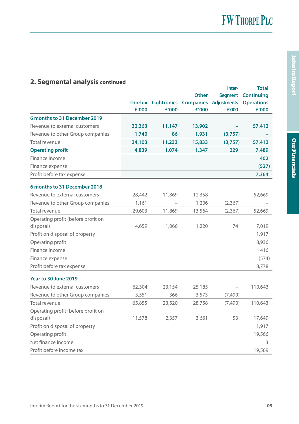## **2. Segmental analysis continued**

|                                    |        |                            |                  | Inter-             | Total              |
|------------------------------------|--------|----------------------------|------------------|--------------------|--------------------|
|                                    |        |                            | Other            |                    | Segment Continuing |
|                                    |        | <b>Thorlux Lightronics</b> | <b>Companies</b> | <b>Adjustments</b> | <b>Operations</b>  |
|                                    | £'000  | £'000                      | £'000            | £'000              | £'000              |
| 6 months to 31 December 2019       |        |                            |                  |                    |                    |
| Revenue to external customers      | 32,363 | 11,147                     | 13,902           |                    | 57,412             |
| Revenue to other Group companies   | 1,740  | 86                         | 1,931            | (3,757)            |                    |
| Total revenue                      | 34,103 | 11,233                     | 15,833           | (3,757)            | 57,412             |
| <b>Operating profit</b>            | 4,839  | 1,074                      | 1,347            | 229                | 7,489              |
| Finance income                     |        |                            |                  |                    | 402                |
| Finance expense                    |        |                            |                  |                    | (527)              |
| Profit before tax expense          |        |                            |                  |                    | 7,364              |
| 6 months to 31 December 2018       |        |                            |                  |                    |                    |
| Revenue to external customers      | 28,442 | 11,869                     | 12,358           |                    | 52,669             |
| Revenue to other Group companies   | 1,161  |                            | 1,206            | (2, 367)           |                    |
| Total revenue                      | 29,603 | 11,869                     | 13,564           | (2, 367)           | 52,669             |
| Operating profit (before profit on |        |                            |                  |                    |                    |
| disposal)                          | 4,659  | 1,066                      | 1,220            | 74                 | 7,019              |
| Profit on disposal of property     |        |                            |                  |                    | 1,917              |
| Operating profit                   |        |                            |                  |                    | 8,936              |
| Finance income                     |        |                            |                  |                    | 416                |
| Finance expense                    |        |                            |                  |                    | (574)              |
| Profit before tax expense          |        |                            |                  |                    | 8,778              |
| Year to 30 June 2019               |        |                            |                  |                    |                    |
| Revenue to external customers      | 62,304 | 23,154                     | 25,185           |                    | 110,643            |
| Revenue to other Group companies   | 3,551  | 366                        | 3,573            | (7,490)            |                    |
| Total revenue                      | 65,855 | 23,520                     | 28,758           | (7, 490)           | 110,643            |
| Operating profit (before profit on |        |                            |                  |                    |                    |
| disposal)                          | 11,578 | 2,357                      | 3,661            | 53                 | 17,649             |
| Profit on disposal of property     |        |                            |                  |                    | 1,917              |
| Operating profit                   |        |                            |                  |                    | 19,566             |
| Net finance income                 |        |                            |                  |                    | 3                  |
| Profit before income tax           |        |                            |                  |                    | 19,569             |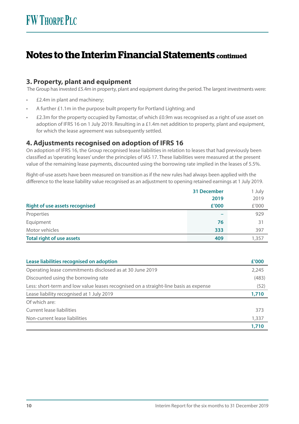# **Notes to the Interim Financial Statements continued**

#### **3. Property, plant and equipment**

The Group has invested £5.4m in property, plant and equipment during the period. The largest investments were:

- £2.4m in plant and machinery;
- A further £1.1m in the purpose built property for Portland Lighting; and
- £2.3m for the property occupied by Famostar, of which £0.9m was recognised as a right of use asset on adoption of IFRS 16 on 1 July 2019. Resulting in a £1.4m net addition to property, plant and equipment, for which the lease agreement was subsequently settled.

#### **4. Adjustments recognised on adoption of IFRS 16**

On adoption of IFRS 16, the Group recognised lease liabilities in relation to leases that had previously been classified as 'operating leases' under the principles of IAS 17. These liabilities were measured at the present value of the remaining lease payments, discounted using the borrowing rate implied in the leases of 5.5%.

Right-of-use assets have been measured on transition as if the new rules had always been applied with the difference to the lease liability value recognised as an adjustment to opening retained earnings at 1 July 2019.

|                                       | 31 December | 1 July |
|---------------------------------------|-------------|--------|
|                                       | 2019        | 2019   |
| <b>Right of use assets recognised</b> | £'000       | £'000  |
| Properties                            |             | 929    |
| Equipment                             | 76          | 31     |
| Motor vehicles                        | 333         | 397    |
| <b>Total right of use assets</b>      | 409         | 1,357  |

| Lease liabilities recognised on adoption                                             | £'000 |
|--------------------------------------------------------------------------------------|-------|
| Operating lease commitments disclosed as at 30 June 2019                             | 2,245 |
| Discounted using the borrowing rate                                                  | (483) |
| Less: short-term and low value leases recognised on a straight-line basis as expense | (52)  |
| Lease liability recognised at 1 July 2019                                            | 1,710 |
| Of which are:                                                                        |       |
| Current lease liabilities                                                            | 373   |
| Non-current lease liabilities                                                        | 1,337 |
|                                                                                      | 1,710 |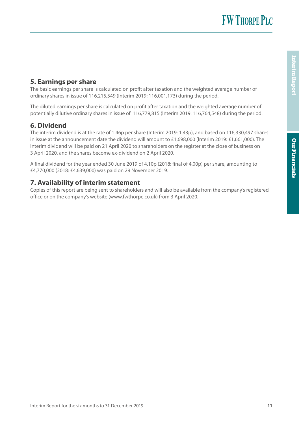**FW THORPE PLC** 

#### **5. Earnings per share**

The basic earnings per share is calculated on profit after taxation and the weighted average number of ordinary shares in issue of 116,215,549 (Interim 2019: 116,001,173) during the period.

The diluted earnings per share is calculated on profit after taxation and the weighted average number of potentially dilutive ordinary shares in issue of 116,779,815 (Interim 2019: 116,764,548) during the period.

### **6. Dividend**

The interim dividend is at the rate of 1.46p per share (Interim 2019: 1.43p), and based on 116,330,497 shares in issue at the announcement date the dividend will amount to £1,698,000 (Interim 2019: £1,661,000). The interim dividend will be paid on 21 April 2020 to shareholders on the register at the close of business on 3 April 2020, and the shares become ex-dividend on 2 April 2020.

A final dividend for the year ended 30 June 2019 of 4.10p (2018: final of 4.00p) per share, amounting to £4,770,000 (2018: £4,639,000) was paid on 29 November 2019.

### **7. Availability of interim statement**

Copies of this report are being sent to shareholders and will also be available from the company's registered office or on the company's website (www.fwthorpe.co.uk) from 3 April 2020.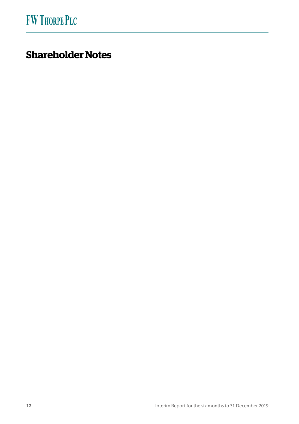# **Shareholder Notes**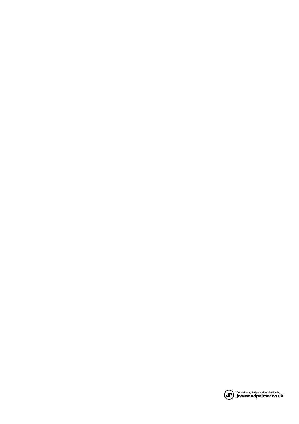